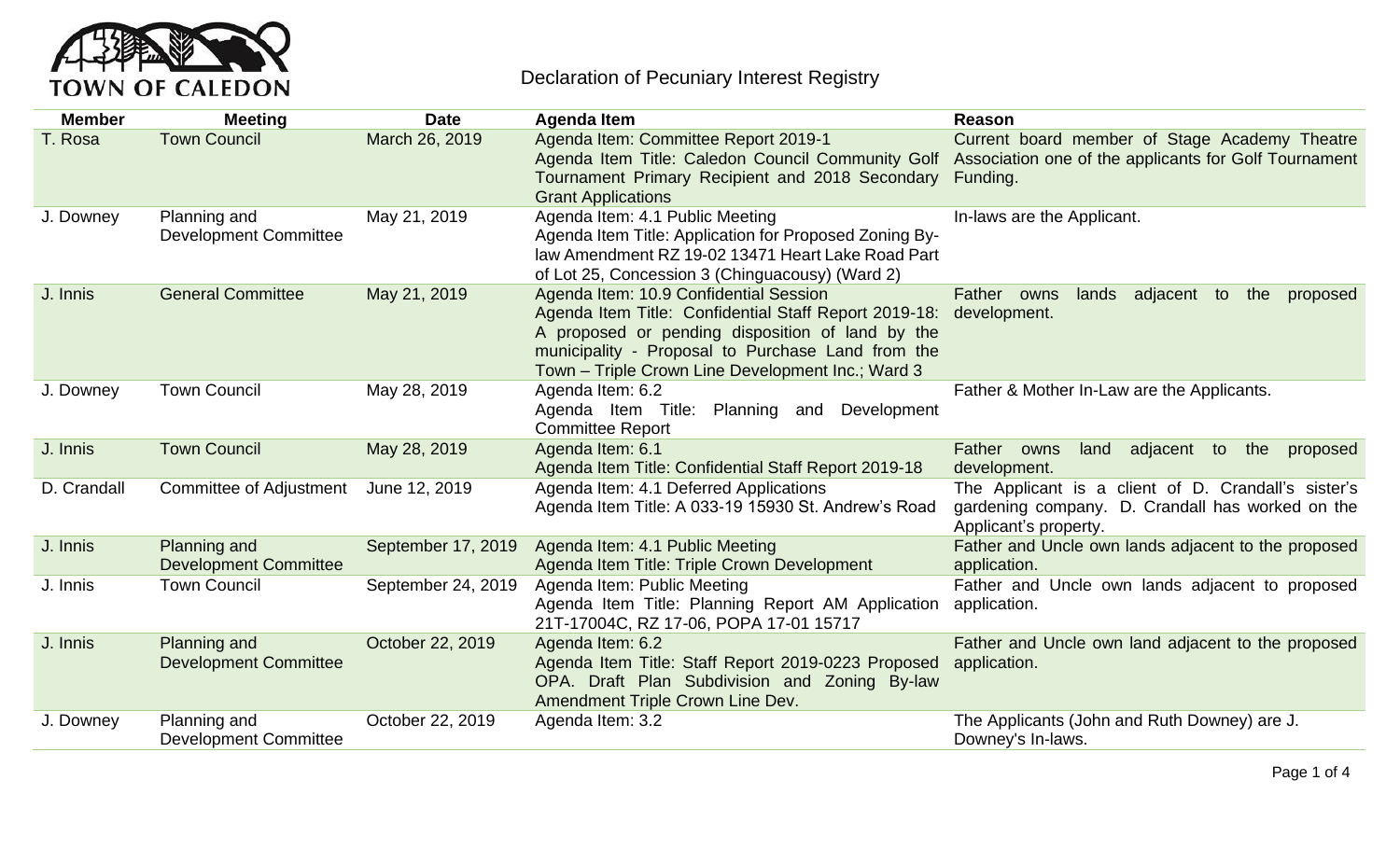

## Declaration of Pecuniary Interest Registry

| <b>Member</b> | <b>Meeting</b>                               | <b>Date</b>        | <b>Agenda Item</b>                                                                                                                                                                                                                                            | Reason                                                                                                                                                               |
|---------------|----------------------------------------------|--------------------|---------------------------------------------------------------------------------------------------------------------------------------------------------------------------------------------------------------------------------------------------------------|----------------------------------------------------------------------------------------------------------------------------------------------------------------------|
| T. Rosa       | <b>Town Council</b>                          | March 26, 2019     | Agenda Item: Committee Report 2019-1<br>Tournament Primary Recipient and 2018 Secondary<br><b>Grant Applications</b>                                                                                                                                          | Current board member of Stage Academy Theatre<br>Agenda Item Title: Caledon Council Community Golf Association one of the applicants for Golf Tournament<br>Funding. |
| J. Downey     | Planning and<br><b>Development Committee</b> | May 21, 2019       | Agenda Item: 4.1 Public Meeting<br>Agenda Item Title: Application for Proposed Zoning By-<br>law Amendment RZ 19-02 13471 Heart Lake Road Part<br>of Lot 25, Concession 3 (Chinguacousy) (Ward 2)                                                             | In-laws are the Applicant.                                                                                                                                           |
| J. Innis      | <b>General Committee</b>                     | May 21, 2019       | Agenda Item: 10.9 Confidential Session<br>Agenda Item Title: Confidential Staff Report 2019-18:<br>A proposed or pending disposition of land by the<br>municipality - Proposal to Purchase Land from the<br>Town - Triple Crown Line Development Inc.; Ward 3 | adjacent to<br>Father owns<br>lands<br>the<br>proposed<br>development.                                                                                               |
| J. Downey     | <b>Town Council</b>                          | May 28, 2019       | Agenda Item: 6.2<br>Agenda Item Title:<br>Planning and Development<br><b>Committee Report</b>                                                                                                                                                                 | Father & Mother In-Law are the Applicants.                                                                                                                           |
| J. Innis      | <b>Town Council</b>                          | May 28, 2019       | Agenda Item: 6.1<br>Agenda Item Title: Confidential Staff Report 2019-18                                                                                                                                                                                      | adjacent to the<br>land<br>Father owns<br>proposed<br>development.                                                                                                   |
| D. Crandall   | Committee of Adjustment                      | June 12, 2019      | Agenda Item: 4.1 Deferred Applications<br>Agenda Item Title: A 033-19 15930 St. Andrew's Road                                                                                                                                                                 | The Applicant is a client of D. Crandall's sister's<br>gardening company. D. Crandall has worked on the<br>Applicant's property.                                     |
| J. Innis      | Planning and<br><b>Development Committee</b> | September 17, 2019 | Agenda Item: 4.1 Public Meeting<br>Agenda Item Title: Triple Crown Development                                                                                                                                                                                | Father and Uncle own lands adjacent to the proposed<br>application.                                                                                                  |
| J. Innis      | <b>Town Council</b>                          | September 24, 2019 | Agenda Item: Public Meeting<br>Agenda Item Title: Planning Report AM Application<br>21T-17004C, RZ 17-06, POPA 17-01 15717                                                                                                                                    | Father and Uncle own lands adjacent to proposed<br>application.                                                                                                      |
| J. Innis      | Planning and<br><b>Development Committee</b> | October 22, 2019   | Agenda Item: 6.2<br>Agenda Item Title: Staff Report 2019-0223 Proposed<br>OPA. Draft Plan Subdivision and Zoning By-law<br>Amendment Triple Crown Line Dev.                                                                                                   | Father and Uncle own land adjacent to the proposed<br>application.                                                                                                   |
| J. Downey     | Planning and<br><b>Development Committee</b> | October 22, 2019   | Agenda Item: 3.2                                                                                                                                                                                                                                              | The Applicants (John and Ruth Downey) are J.<br>Downey's In-laws.                                                                                                    |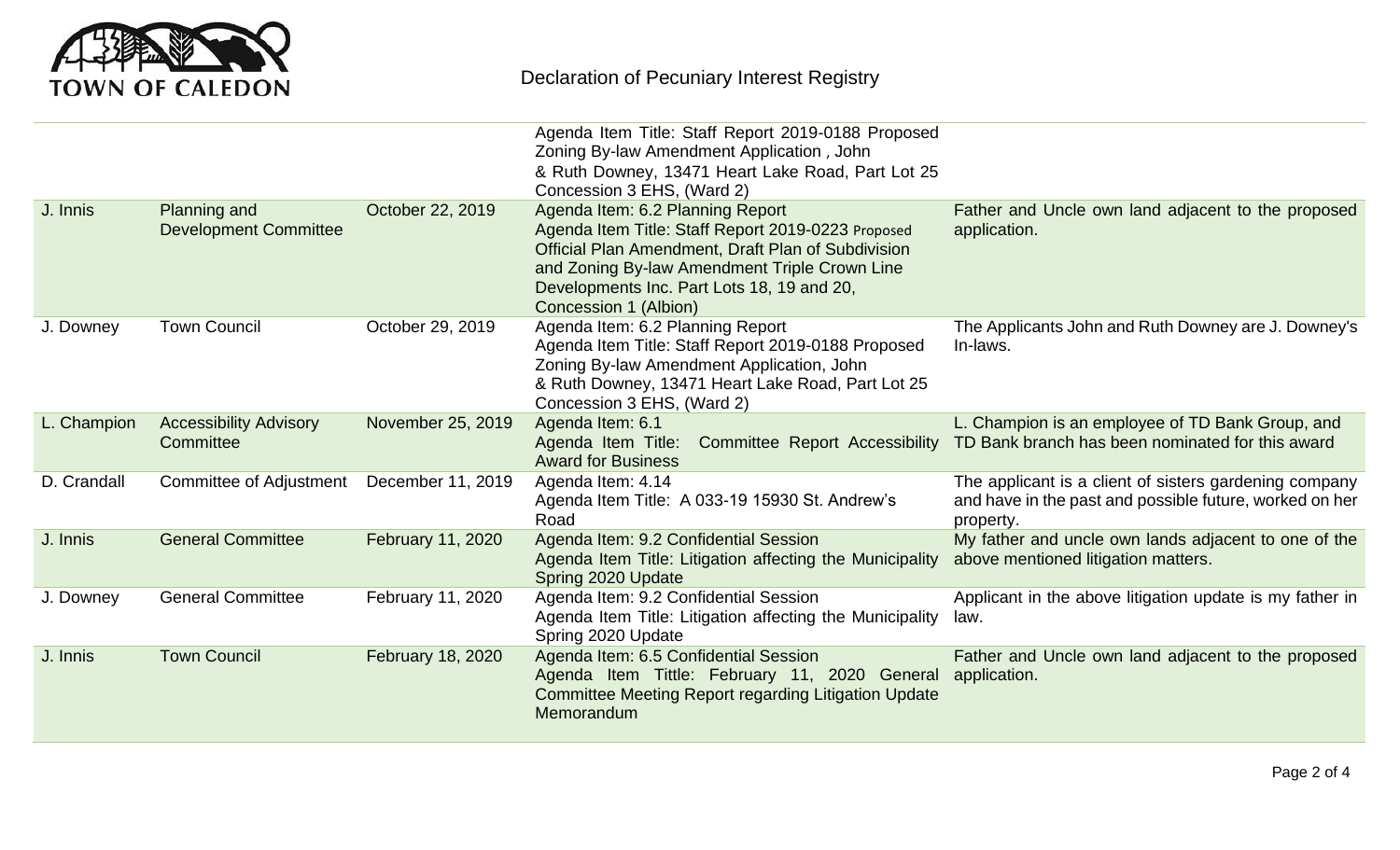

|             |                                              |                          | Agenda Item Title: Staff Report 2019-0188 Proposed<br>Zoning By-law Amendment Application, John<br>& Ruth Downey, 13471 Heart Lake Road, Part Lot 25<br>Concession 3 EHS, (Ward 2)                                                                                   |                                                                                                                                |
|-------------|----------------------------------------------|--------------------------|----------------------------------------------------------------------------------------------------------------------------------------------------------------------------------------------------------------------------------------------------------------------|--------------------------------------------------------------------------------------------------------------------------------|
| J. Innis    | Planning and<br><b>Development Committee</b> | October 22, 2019         | Agenda Item: 6.2 Planning Report<br>Agenda Item Title: Staff Report 2019-0223 Proposed<br>Official Plan Amendment, Draft Plan of Subdivision<br>and Zoning By-law Amendment Triple Crown Line<br>Developments Inc. Part Lots 18, 19 and 20,<br>Concession 1 (Albion) | Father and Uncle own land adjacent to the proposed<br>application.                                                             |
| J. Downey   | <b>Town Council</b>                          | October 29, 2019         | Agenda Item: 6.2 Planning Report<br>Agenda Item Title: Staff Report 2019-0188 Proposed<br>Zoning By-law Amendment Application, John<br>& Ruth Downey, 13471 Heart Lake Road, Part Lot 25<br>Concession 3 EHS, (Ward 2)                                               | The Applicants John and Ruth Downey are J. Downey's<br>In-laws.                                                                |
| L. Champion | <b>Accessibility Advisory</b><br>Committee   | November 25, 2019        | Agenda Item: 6.1<br>Agenda Item Title: Committee Report Accessibility<br><b>Award for Business</b>                                                                                                                                                                   | L. Champion is an employee of TD Bank Group, and<br>TD Bank branch has been nominated for this award                           |
| D. Crandall | Committee of Adjustment                      | December 11, 2019        | Agenda Item: 4.14<br>Agenda Item Title: A 033-19 15930 St. Andrew's<br>Road                                                                                                                                                                                          | The applicant is a client of sisters gardening company<br>and have in the past and possible future, worked on her<br>property. |
| J. Innis    | <b>General Committee</b>                     | February 11, 2020        | Agenda Item: 9.2 Confidential Session<br>Agenda Item Title: Litigation affecting the Municipality<br>Spring 2020 Update                                                                                                                                              | My father and uncle own lands adjacent to one of the<br>above mentioned litigation matters.                                    |
| J. Downey   | <b>General Committee</b>                     | February 11, 2020        | Agenda Item: 9.2 Confidential Session<br>Agenda Item Title: Litigation affecting the Municipality<br>Spring 2020 Update                                                                                                                                              | Applicant in the above litigation update is my father in<br>law.                                                               |
| J. Innis    | <b>Town Council</b>                          | <b>February 18, 2020</b> | Agenda Item: 6.5 Confidential Session<br>Agenda Item Tittle: February 11, 2020 General<br><b>Committee Meeting Report regarding Litigation Update</b><br>Memorandum                                                                                                  | Father and Uncle own land adjacent to the proposed<br>application.                                                             |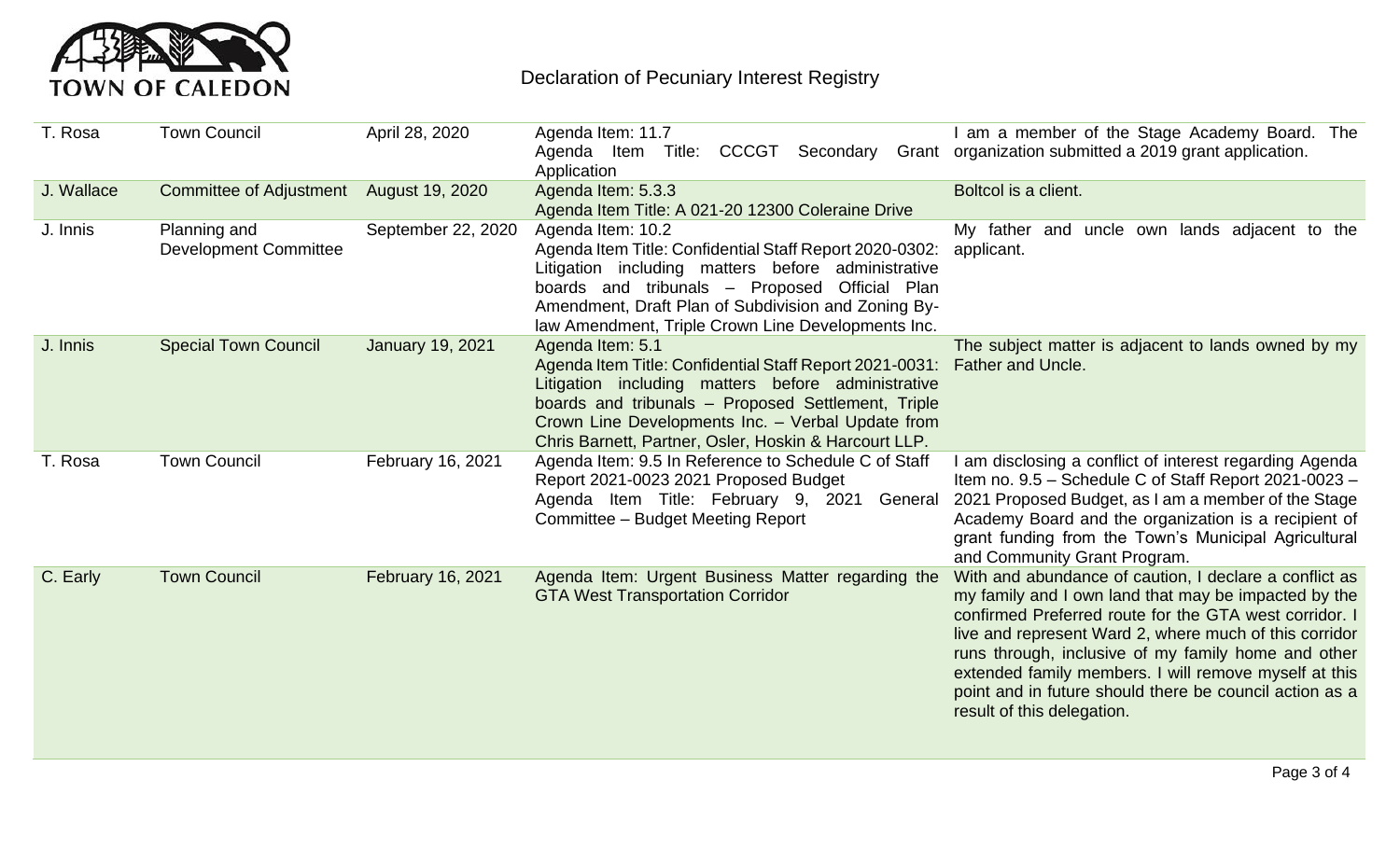

| T. Rosa    | <b>Town Council</b>                          | April 28, 2020          | Agenda Item: 11.7<br>CCCGT<br>Agenda Item<br>Secondary<br>Title:<br>Application                                                                                                                                                                                                                       | am a member of the Stage Academy Board. The<br>Grant organization submitted a 2019 grant application.                                                                                                                                                                                                                                                                                                                                       |
|------------|----------------------------------------------|-------------------------|-------------------------------------------------------------------------------------------------------------------------------------------------------------------------------------------------------------------------------------------------------------------------------------------------------|---------------------------------------------------------------------------------------------------------------------------------------------------------------------------------------------------------------------------------------------------------------------------------------------------------------------------------------------------------------------------------------------------------------------------------------------|
| J. Wallace | <b>Committee of Adjustment</b>               | August 19, 2020         | Agenda Item: 5.3.3<br>Agenda Item Title: A 021-20 12300 Coleraine Drive                                                                                                                                                                                                                               | Boltcol is a client.                                                                                                                                                                                                                                                                                                                                                                                                                        |
| J. Innis   | Planning and<br><b>Development Committee</b> | September 22, 2020      | Agenda Item: 10.2<br>Agenda Item Title: Confidential Staff Report 2020-0302:<br>Litigation including matters before administrative<br>boards and tribunals - Proposed<br>Official Plan<br>Amendment, Draft Plan of Subdivision and Zoning By-<br>law Amendment, Triple Crown Line Developments Inc.   | My father and uncle own lands adjacent to the<br>applicant.                                                                                                                                                                                                                                                                                                                                                                                 |
| J. Innis   | <b>Special Town Council</b>                  | <b>January 19, 2021</b> | Agenda Item: 5.1<br>Agenda Item Title: Confidential Staff Report 2021-0031:<br>Litigation including matters before administrative<br>boards and tribunals - Proposed Settlement, Triple<br>Crown Line Developments Inc. - Verbal Update from<br>Chris Barnett, Partner, Osler, Hoskin & Harcourt LLP. | The subject matter is adjacent to lands owned by my<br><b>Father and Uncle.</b>                                                                                                                                                                                                                                                                                                                                                             |
| T. Rosa    | <b>Town Council</b>                          | February 16, 2021       | Agenda Item: 9.5 In Reference to Schedule C of Staff<br>Report 2021-0023 2021 Proposed Budget<br>Agenda Item Title: February 9,<br>2021<br>General<br>Committee - Budget Meeting Report                                                                                                               | am disclosing a conflict of interest regarding Agenda<br>Item no. 9.5 - Schedule C of Staff Report 2021-0023 -<br>2021 Proposed Budget, as I am a member of the Stage<br>Academy Board and the organization is a recipient of<br>grant funding from the Town's Municipal Agricultural<br>and Community Grant Program.                                                                                                                       |
| C. Early   | <b>Town Council</b>                          | February 16, 2021       | Agenda Item: Urgent Business Matter regarding the<br><b>GTA West Transportation Corridor</b>                                                                                                                                                                                                          | With and abundance of caution, I declare a conflict as<br>my family and I own land that may be impacted by the<br>confirmed Preferred route for the GTA west corridor. I<br>live and represent Ward 2, where much of this corridor<br>runs through, inclusive of my family home and other<br>extended family members. I will remove myself at this<br>point and in future should there be council action as a<br>result of this delegation. |